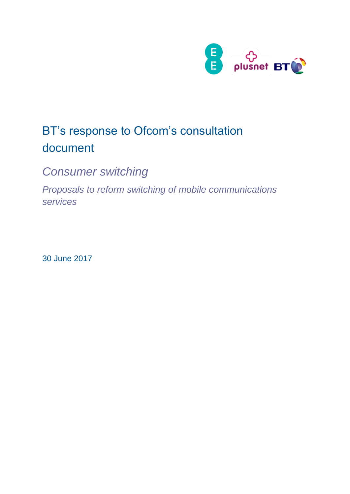

# BT's response to Ofcom's consultation document

*Consumer switching*

*Proposals to reform switching of mobile communications services*

30 June 2017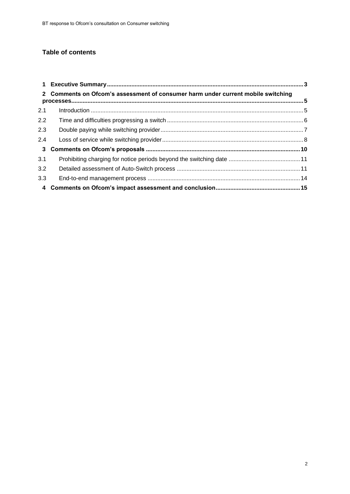### **Table of contents**

|                         | 2 Comments on Ofcom's assessment of consumer harm under current mobile switching |  |
|-------------------------|----------------------------------------------------------------------------------|--|
| 2.1                     |                                                                                  |  |
| 2.2                     |                                                                                  |  |
| 2.3                     |                                                                                  |  |
| 2.4                     |                                                                                  |  |
| $\overline{\mathbf{3}}$ |                                                                                  |  |
| 3.1                     |                                                                                  |  |
| 3.2                     |                                                                                  |  |
| 3.3                     |                                                                                  |  |
|                         |                                                                                  |  |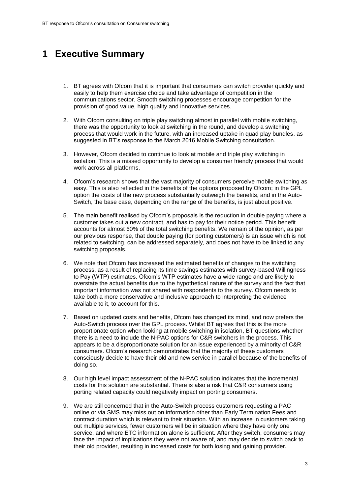# <span id="page-2-0"></span>**1 Executive Summary**

- 1. BT agrees with Ofcom that it is important that consumers can switch provider quickly and easily to help them exercise choice and take advantage of competition in the communications sector. Smooth switching processes encourage competition for the provision of good value, high quality and innovative services.
- 2. With Ofcom consulting on triple play switching almost in parallel with mobile switching, there was the opportunity to look at switching in the round, and develop a switching process that would work in the future, with an increased uptake in quad play bundles, as suggested in BT's response to the March 2016 Mobile Switching consultation.
- 3. However, Ofcom decided to continue to look at mobile and triple play switching in isolation. This is a missed opportunity to develop a consumer friendly process that would work across all platforms,
- 4. Ofcom's research shows that the vast majority of consumers perceive mobile switching as easy. This is also reflected in the benefits of the options proposed by Ofcom; in the GPL option the costs of the new process substantially outweigh the benefits, and in the Auto-Switch, the base case, depending on the range of the benefits, is just about positive.
- 5. The main benefit realised by Ofcom's proposals is the reduction in double paying where a customer takes out a new contract, and has to pay for their notice period. This benefit accounts for almost 60% of the total switching benefits. We remain of the opinion, as per our previous response, that double paying (for porting customers) is an issue which is not related to switching, can be addressed separately, and does not have to be linked to any switching proposals.
- 6. We note that Ofcom has increased the estimated benefits of changes to the switching process, as a result of replacing its time savings estimates with survey-based Willingness to Pay (WTP) estimates. Ofcom's WTP estimates have a wide range and are likely to overstate the actual benefits due to the hypothetical nature of the survey and the fact that important information was not shared with respondents to the survey. Ofcom needs to take both a more conservative and inclusive approach to interpreting the evidence available to it, to account for this.
- 7. Based on updated costs and benefits, Ofcom has changed its mind, and now prefers the Auto-Switch process over the GPL process. Whilst BT agrees that this is the more proportionate option when looking at mobile switching in isolation, BT questions whether there is a need to include the N-PAC options for C&R switchers in the process. This appears to be a disproportionate solution for an issue experienced by a minority of C&R consumers. Ofcom's research demonstrates that the majority of these customers consciously decide to have their old and new service in parallel because of the benefits of doing so.
- 8. Our high level impact assessment of the N-PAC solution indicates that the incremental costs for this solution are substantial. There is also a risk that C&R consumers using porting related capacity could negatively impact on porting consumers.
- 9. We are still concerned that in the Auto-Switch process customers requesting a PAC online or via SMS may miss out on information other than Early Termination Fees and contract duration which is relevant to their situation. With an increase in customers taking out multiple services, fewer customers will be in situation where they have only one service, and where ETC information alone is sufficient. After they switch, consumers may face the impact of implications they were not aware of, and may decide to switch back to their old provider, resulting in increased costs for both losing and gaining provider.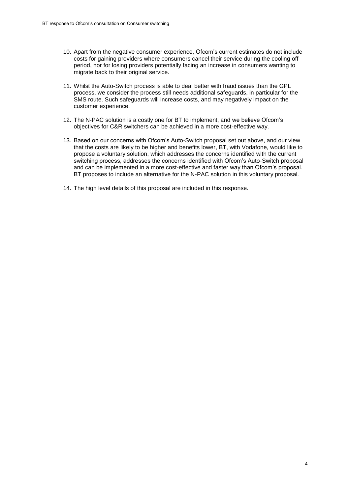- 10. Apart from the negative consumer experience, Ofcom's current estimates do not include costs for gaining providers where consumers cancel their service during the cooling off period, nor for losing providers potentially facing an increase in consumers wanting to migrate back to their original service.
- 11. Whilst the Auto-Switch process is able to deal better with fraud issues than the GPL process, we consider the process still needs additional safeguards, in particular for the SMS route. Such safeguards will increase costs, and may negatively impact on the customer experience.
- 12. The N-PAC solution is a costly one for BT to implement, and we believe Ofcom's objectives for C&R switchers can be achieved in a more cost-effective way.
- 13. Based on our concerns with Ofcom's Auto-Switch proposal set out above, and our view that the costs are likely to be higher and benefits lower, BT, with Vodafone, would like to propose a voluntary solution, which addresses the concerns identified with the current switching process, addresses the concerns identified with Ofcom's Auto-Switch proposal and can be implemented in a more cost-effective and faster way than Ofcom's proposal. BT proposes to include an alternative for the N-PAC solution in this voluntary proposal.
- 14. The high level details of this proposal are included in this response.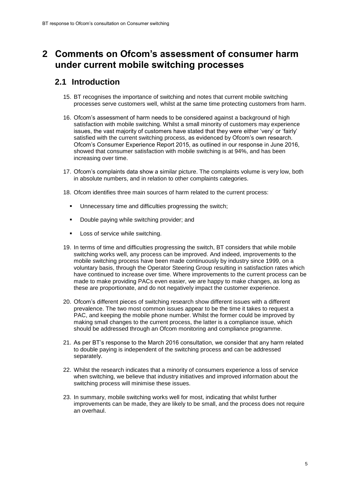# <span id="page-4-0"></span>**2 Comments on Ofcom's assessment of consumer harm under current mobile switching processes**

### <span id="page-4-1"></span>**2.1 Introduction**

- 15. BT recognises the importance of switching and notes that current mobile switching processes serve customers well, whilst at the same time protecting customers from harm.
- 16. Ofcom's assessment of harm needs to be considered against a background of high satisfaction with mobile switching. Whilst a small minority of customers may experience issues, the vast majority of customers have stated that they were either 'very' or 'fairly' satisfied with the current switching process, as evidenced by Ofcom's own research. Ofcom's Consumer Experience Report 2015, as outlined in our response in June 2016, showed that consumer satisfaction with mobile switching is at 94%, and has been increasing over time.
- 17. Ofcom's complaints data show a similar picture. The complaints volume is very low, both in absolute numbers, and in relation to other complaints categories.
- 18. Ofcom identifies three main sources of harm related to the current process:
	- Unnecessary time and difficulties progressing the switch;
	- Double paying while switching provider; and
	- Loss of service while switching.
- 19. In terms of time and difficulties progressing the switch, BT considers that while mobile switching works well, any process can be improved. And indeed, improvements to the mobile switching process have been made continuously by industry since 1999, on a voluntary basis, through the Operator Steering Group resulting in satisfaction rates which have continued to increase over time. Where improvements to the current process can be made to make providing PACs even easier, we are happy to make changes, as long as these are proportionate, and do not negatively impact the customer experience.
- 20. Ofcom's different pieces of switching research show different issues with a different prevalence. The two most common issues appear to be the time it takes to request a PAC, and keeping the mobile phone number. Whilst the former could be improved by making small changes to the current process, the latter is a compliance issue, which should be addressed through an Ofcom monitoring and compliance programme.
- 21. As per BT's response to the March 2016 consultation, we consider that any harm related to double paying is independent of the switching process and can be addressed separately.
- 22. Whilst the research indicates that a minority of consumers experience a loss of service when switching, we believe that industry initiatives and improved information about the switching process will minimise these issues.
- 23. In summary, mobile switching works well for most, indicating that whilst further improvements can be made, they are likely to be small, and the process does not require an overhaul.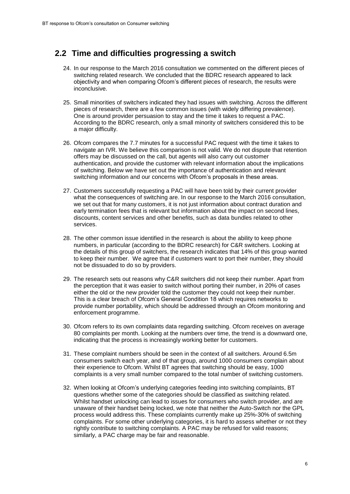### <span id="page-5-0"></span>**2.2 Time and difficulties progressing a switch**

- 24. In our response to the March 2016 consultation we commented on the different pieces of switching related research. We concluded that the BDRC research appeared to lack objectivity and when comparing Ofcom's different pieces of research, the results were inconclusive.
- 25. Small minorities of switchers indicated they had issues with switching. Across the different pieces of research, there are a few common issues (with widely differing prevalence). One is around provider persuasion to stay and the time it takes to request a PAC. According to the BDRC research, only a small minority of switchers considered this to be a major difficulty.
- 26. Ofcom compares the 7.7 minutes for a successful PAC request with the time it takes to navigate an IVR. We believe this comparison is not valid. We do not dispute that retention offers may be discussed on the call, but agents will also carry out customer authentication, and provide the customer with relevant information about the implications of switching. Below we have set out the importance of authentication and relevant switching information and our concerns with Ofcom's proposals in these areas.
- 27. Customers successfully requesting a PAC will have been told by their current provider what the consequences of switching are. In our response to the March 2016 consultation, we set out that for many customers, it is not just information about contract duration and early termination fees that is relevant but information about the impact on second lines, discounts, content services and other benefits, such as data bundles related to other services.
- 28. The other common issue identified in the research is about the ability to keep phone numbers, in particular (according to the BDRC research) for C&R switchers. Looking at the details of this group of switchers, the research indicates that 14% of this group wanted to keep their number. We agree that if customers want to port their number, they should not be dissuaded to do so by providers.
- 29. The research sets out reasons why C&R switchers did not keep their number. Apart from the perception that it was easier to switch without porting their number, in 20% of cases either the old or the new provider told the customer they could not keep their number. This is a clear breach of Ofcom's General Condition 18 which requires networks to provide number portability, which should be addressed through an Ofcom monitoring and enforcement programme.
- 30. Ofcom refers to its own complaints data regarding switching. Ofcom receives on average 80 complaints per month. Looking at the numbers over time, the trend is a downward one, indicating that the process is increasingly working better for customers.
- 31. These complaint numbers should be seen in the context of all switchers. Around 6.5m consumers switch each year, and of that group, around 1000 consumers complain about their experience to Ofcom. Whilst BT agrees that switching should be easy, 1000 complaints is a very small number compared to the total number of switching customers.
- 32. When looking at Ofcom's underlying categories feeding into switching complaints, BT questions whether some of the categories should be classified as switching related. Whilst handset unlocking can lead to issues for consumers who switch provider, and are unaware of their handset being locked, we note that neither the Auto-Switch nor the GPL process would address this. These complaints currently make up 25%-30% of switching complaints. For some other underlying categories, it is hard to assess whether or not they rightly contribute to switching complaints. A PAC may be refused for valid reasons; similarly, a PAC charge may be fair and reasonable.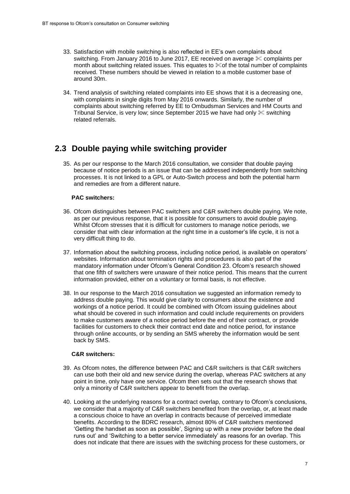- 33. Satisfaction with mobile switching is also reflected in EE's own complaints about switching. From January 2016 to June 2017, EE received on average  $\&$  complaints per month about switching related issues. This equates to  $\%$  of the total number of complaints received. These numbers should be viewed in relation to a mobile customer base of around 30m.
- 34. Trend analysis of switching related complaints into EE shows that it is a decreasing one, with complaints in single digits from May 2016 onwards. Similarly, the number of complaints about switching referred by EE to Ombudsman Services and HM Courts and Tribunal Service, is very low; since September 2015 we have had only  $\&$  switching related referrals.

### <span id="page-6-0"></span>**2.3 Double paying while switching provider**

35. As per our response to the March 2016 consultation, we consider that double paying because of notice periods is an issue that can be addressed independently from switching processes. It is not linked to a GPL or Auto-Switch process and both the potential harm and remedies are from a different nature.

### **PAC switchers:**

- 36. Ofcom distinguishes between PAC switchers and C&R switchers double paying. We note, as per our previous response, that it is possible for consumers to avoid double paying. Whilst Ofcom stresses that it is difficult for customers to manage notice periods, we consider that with clear information at the right time in a customer's life cycle, it is not a very difficult thing to do.
- 37. Information about the switching process, including notice period, is available on operators' websites. Information about termination rights and procedures is also part of the mandatory information under Ofcom's General Condition 23. Ofcom's research showed that one fifth of switchers were unaware of their notice period. This means that the current information provided, either on a voluntary or formal basis, is not effective.
- 38. In our response to the March 2016 consultation we suggested an information remedy to address double paying. This would give clarity to consumers about the existence and workings of a notice period. It could be combined with Ofcom issuing guidelines about what should be covered in such information and could include requirements on providers to make customers aware of a notice period before the end of their contract, or provide facilities for customers to check their contract end date and notice period, for instance through online accounts, or by sending an SMS whereby the information would be sent back by SMS.

### **C&R switchers:**

- 39. As Ofcom notes, the difference between PAC and C&R switchers is that C&R switchers can use both their old and new service during the overlap, whereas PAC switchers at any point in time, only have one service. Ofcom then sets out that the research shows that only a minority of C&R switchers appear to benefit from the overlap.
- 40. Looking at the underlying reasons for a contract overlap, contrary to Ofcom's conclusions, we consider that a majority of C&R switchers benefited from the overlap, or, at least made a conscious choice to have an overlap in contracts because of perceived immediate benefits. According to the BDRC research, almost 80% of C&R switchers mentioned 'Getting the handset as soon as possible', Signing up with a new provider before the deal runs out' and 'Switching to a better service immediately' as reasons for an overlap. This does not indicate that there are issues with the switching process for these customers, or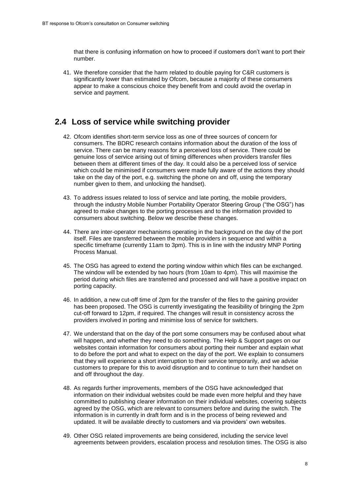that there is confusing information on how to proceed if customers don't want to port their number.

41. We therefore consider that the harm related to double paying for C&R customers is significantly lower than estimated by Ofcom, because a majority of these consumers appear to make a conscious choice they benefit from and could avoid the overlap in service and payment.

### <span id="page-7-0"></span>**2.4 Loss of service while switching provider**

- 42. Ofcom identifies short-term service loss as one of three sources of concern for consumers. The BDRC research contains information about the duration of the loss of service. There can be many reasons for a perceived loss of service. There could be genuine loss of service arising out of timing differences when providers transfer files between them at different times of the day. It could also be a perceived loss of service which could be minimised if consumers were made fully aware of the actions they should take on the day of the port, e.g. switching the phone on and off, using the temporary number given to them, and unlocking the handset).
- 43. To address issues related to loss of service and late porting, the mobile providers, through the industry Mobile Number Portability Operator Steering Group ("the OSG") has agreed to make changes to the porting processes and to the information provided to consumers about switching. Below we describe these changes.
- 44. There are inter-operator mechanisms operating in the background on the day of the port itself. Files are transferred between the mobile providers in sequence and within a specific timeframe (currently 11am to 3pm). This is in line with the industry MNP Porting Process Manual.
- 45. The OSG has agreed to extend the porting window within which files can be exchanged. The window will be extended by two hours (from 10am to 4pm). This will maximise the period during which files are transferred and processed and will have a positive impact on porting capacity.
- 46. In addition, a new cut-off time of 2pm for the transfer of the files to the gaining provider has been proposed. The OSG is currently investigating the feasibility of bringing the 2pm cut-off forward to 12pm, if required. The changes will result in consistency across the providers involved in porting and minimise loss of service for switchers.
- 47. We understand that on the day of the port some consumers may be confused about what will happen, and whether they need to do something. The Help & Support pages on our websites contain information for consumers about porting their number and explain what to do before the port and what to expect on the day of the port. We explain to consumers that they will experience a short interruption to their service temporarily, and we advise customers to prepare for this to avoid disruption and to continue to turn their handset on and off throughout the day.
- 48. As regards further improvements, members of the OSG have acknowledged that information on their individual websites could be made even more helpful and they have committed to publishing clearer information on their individual websites, covering subjects agreed by the OSG, which are relevant to consumers before and during the switch. The information is in currently in draft form and is in the process of being reviewed and updated. It will be available directly to customers and via providers' own websites.
- 49. Other OSG related improvements are being considered, including the service level agreements between providers, escalation process and resolution times. The OSG is also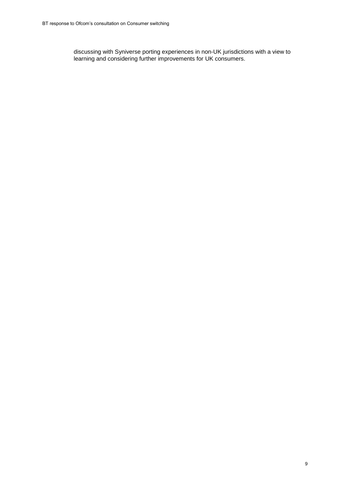discussing with Syniverse porting experiences in non-UK jurisdictions with a view to learning and considering further improvements for UK consumers.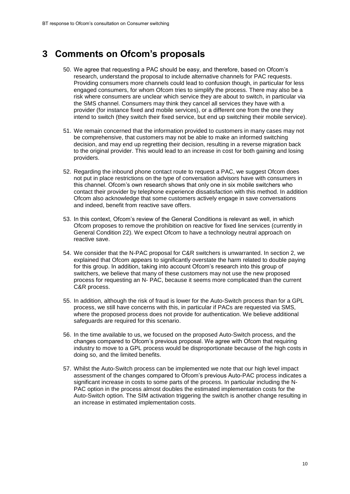## <span id="page-9-0"></span>**3 Comments on Ofcom's proposals**

- 50. We agree that requesting a PAC should be easy, and therefore, based on Ofcom's research, understand the proposal to include alternative channels for PAC requests. Providing consumers more channels could lead to confusion though, in particular for less engaged consumers, for whom Ofcom tries to simplify the process. There may also be a risk where consumers are unclear which service they are about to switch, in particular via the SMS channel. Consumers may think they cancel all services they have with a provider (for instance fixed and mobile services), or a different one from the one they intend to switch (they switch their fixed service, but end up switching their mobile service).
- 51. We remain concerned that the information provided to customers in many cases may not be comprehensive, that customers may not be able to make an informed switching decision, and may end up regretting their decision, resulting in a reverse migration back to the original provider. This would lead to an increase in cost for both gaining and losing providers.
- 52. Regarding the inbound phone contact route to request a PAC, we suggest Ofcom does not put in place restrictions on the type of conversation advisors have with consumers in this channel. Ofcom's own research shows that only one in six mobile switchers who contact their provider by telephone experience dissatisfaction with this method. In addition Ofcom also acknowledge that some customers actively engage in save conversations and indeed, benefit from reactive save offers.
- 53. In this context, Ofcom's review of the General Conditions is relevant as well, in which Ofcom proposes to remove the prohibition on reactive for fixed line services (currently in General Condition 22). We expect Ofcom to have a technology neutral approach on reactive save.
- 54. We consider that the N-PAC proposal for C&R switchers is unwarranted. In section 2, we explained that Ofcom appears to significantly overstate the harm related to double paying for this group. In addition, taking into account Ofcom's research into this group of switchers, we believe that many of these customers may not use the new proposed process for requesting an N- PAC, because it seems more complicated than the current C&R process.
- 55. In addition, although the risk of fraud is lower for the Auto-Switch process than for a GPL process, we still have concerns with this, in particular if PACs are requested via SMS, where the proposed process does not provide for authentication. We believe additional safeguards are required for this scenario.
- 56. In the time available to us, we focused on the proposed Auto-Switch process, and the changes compared to Ofcom's previous proposal. We agree with Ofcom that requiring industry to move to a GPL process would be disproportionate because of the high costs in doing so, and the limited benefits.
- 57. Whilst the Auto-Switch process can be implemented we note that our high level impact assessment of the changes compared to Ofcom's previous Auto-PAC process indicates a significant increase in costs to some parts of the process. In particular including the N-PAC option in the process almost doubles the estimated implementation costs for the Auto-Switch option. The SIM activation triggering the switch is another change resulting in an increase in estimated implementation costs.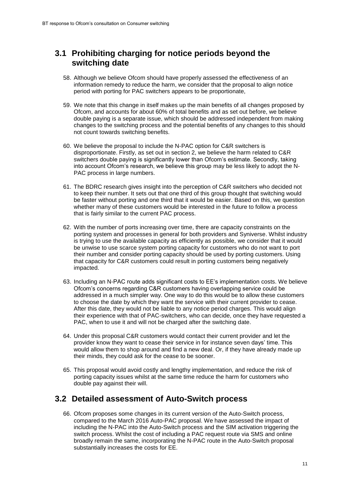### <span id="page-10-0"></span>**3.1 Prohibiting charging for notice periods beyond the switching date**

- 58. Although we believe Ofcom should have properly assessed the effectiveness of an information remedy to reduce the harm, we consider that the proposal to align notice period with porting for PAC switchers appears to be proportionate,
- 59. We note that this change in itself makes up the main benefits of all changes proposed by Ofcom, and accounts for about 60% of total benefits and as set out before, we believe double paying is a separate issue, which should be addressed independent from making changes to the switching process and the potential benefits of any changes to this should not count towards switching benefits.
- 60. We believe the proposal to include the N-PAC option for C&R switchers is disproportionate. Firstly, as set out in section 2, we believe the harm related to C&R switchers double paying is significantly lower than Ofcom's estimate. Secondly, taking into account Ofcom's research, we believe this group may be less likely to adopt the N-PAC process in large numbers.
- 61. The BDRC research gives insight into the perception of C&R switchers who decided not to keep their number. It sets out that one third of this group thought that switching would be faster without porting and one third that it would be easier. Based on this, we question whether many of these customers would be interested in the future to follow a process that is fairly similar to the current PAC process.
- 62. With the number of ports increasing over time, there are capacity constraints on the porting system and processes in general for both providers and Syniverse. Whilst industry is trying to use the available capacity as efficiently as possible, we consider that it would be unwise to use scarce system porting capacity for customers who do not want to port their number and consider porting capacity should be used by porting customers. Using that capacity for C&R customers could result in porting customers being negatively impacted.
- 63. Including an N-PAC route adds significant costs to EE's implementation costs. We believe Ofcom's concerns regarding C&R customers having overlapping service could be addressed in a much simpler way. One way to do this would be to allow these customers to choose the date by which they want the service with their current provider to cease. After this date, they would not be liable to any notice period charges. This would align their experience with that of PAC-switchers, who can decide, once they have requested a PAC, when to use it and will not be charged after the switching date.
- 64. Under this proposal C&R customers would contact their current provider and let the provider know they want to cease their service in for instance seven days' time. This would allow them to shop around and find a new deal. Or, if they have already made up their minds, they could ask for the cease to be sooner.
- 65. This proposal would avoid costly and lengthy implementation, and reduce the risk of porting capacity issues whilst at the same time reduce the harm for customers who double pay against their will.

### <span id="page-10-1"></span>**3.2 Detailed assessment of Auto-Switch process**

66. Ofcom proposes some changes in its current version of the Auto-Switch process, compared to the March 2016 Auto-PAC proposal. We have assessed the impact of including the N-PAC into the Auto-Switch process and the SIM activation triggering the switch process. Whilst the cost of including a PAC request route via SMS and online broadly remain the same, incorporating the N-PAC route in the Auto-Switch proposal substantially increases the costs for EE.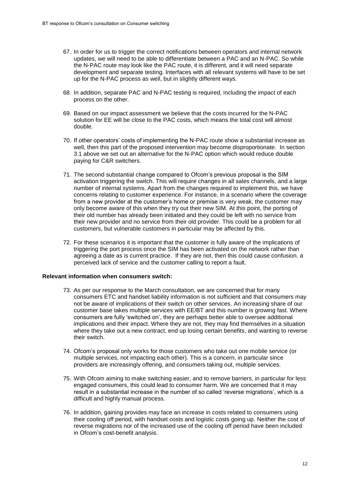- 67. In order for us to trigger the correct notifications between operators and internal network updates, we will need to be able to differentiate between a PAC and an N-PAC. So while the N-PAC route may look like the PAC route, it is different, and it will need separate development and separate testing. Interfaces with all relevant systems will have to be set up for the N-PAC process as well, but in slightly different ways.
- 68. In addition, separate PAC and N-PAC testing is required, including the impact of each process on the other.
- 69. Based on our impact assessment we believe that the costs incurred for the N-PAC solution for EE will be close to the PAC costs, which means the total cost will almost double.
- 70. If other operators' costs of implementing the N-PAC route show a substantial increase as well, then this part of the proposed intervention may become disproportionate. In section 3.1 above we set out an alternative for the N-PAC option which would reduce double paying for C&R switchers.
- 71. The second substantial change compared to Ofcom's previous proposal is the SIM activation triggering the switch. This will require changes in all sales channels, and a large number of internal systems. Apart from the changes required to implement this, we have concerns relating to customer experience. For instance, in a scenario where the coverage from a new provider at the customer's home or premise is very weak, the customer may only become aware of this when they try out their new SIM. At this point, the porting of their old number has already been initiated and they could be left with no service from their new provider and no service from their old provider. This could be a problem for all customers, but vulnerable customers in particular may be affected by this.
- 72. For these scenarios it is important that the customer is fully aware of the implications of triggering the port process once the SIM has been activated on the network rather than agreeing a date as is current practice. If they are not, then this could cause confusion, a perceived lack of service and the customer calling to report a fault.

#### **Relevant information when consumers switch:**

- 73. As per our response to the March consultation, we are concerned that for many consumers ETC and handset liability information is not sufficient and that consumers may not be aware of implications of their switch on other services. An increasing share of our customer base takes multiple services with EE/BT and this number is growing fast. Where consumers are fully 'switched on', they are perhaps better able to oversee additional implications and their impact. Where they are not, they may find themselves in a situation where they take out a new contract, end up losing certain benefits, and wanting to reverse their switch.
- 74. Ofcom's proposal only works for those customers who take out one mobile service (or multiple services, not impacting each other). This is a concern, in particular since providers are increasingly offering, and consumers taking out, multiple services.
- 75. With Ofcom aiming to make switching easier, and to remove barriers, in particular for less engaged consumers, this could lead to consumer harm. We are concerned that it may result in a substantial increase in the number of so called 'reverse migrations', which is a difficult and highly manual process.
- 76. In addition, gaining provides may face an increase in costs related to consumers using their cooling off period, with handset costs and logistic costs going up. Neither the cost of reverse migrations nor of the increased use of the cooling off period have been included in Ofcom's cost-benefit analysis.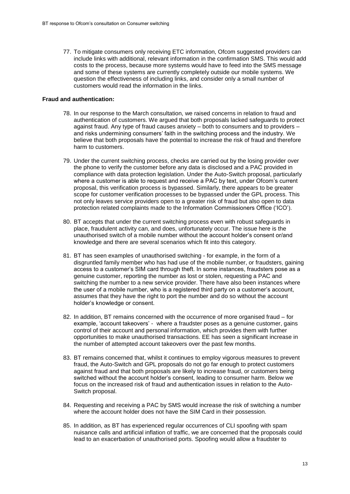77. To mitigate consumers only receiving ETC information, Ofcom suggested providers can include links with additional, relevant information in the confirmation SMS. This would add costs to the process, because more systems would have to feed into the SMS message and some of these systems are currently completely outside our mobile systems. We question the effectiveness of including links, and consider only a small number of customers would read the information in the links.

#### **Fraud and authentication:**

- 78. In our response to the March consultation, we raised concerns in relation to fraud and authentication of customers. We argued that both proposals lacked safeguards to protect against fraud. Any type of fraud causes anxiety – both to consumers and to providers – and risks undermining consumers' faith in the switching process and the industry. We believe that both proposals have the potential to increase the risk of fraud and therefore harm to customers.
- 79. Under the current switching process, checks are carried out by the losing provider over the phone to verify the customer before any data is disclosed and a PAC provided in compliance with data protection legislation. Under the Auto-Switch proposal, particularly where a customer is able to request and receive a PAC by text, under Ofcom's current proposal, this verification process is bypassed. Similarly, there appears to be greater scope for customer verification processes to be bypassed under the GPL process. This not only leaves service providers open to a greater risk of fraud but also open to data protection related complaints made to the Information Commissioners Office ('ICO').
- 80. BT accepts that under the current switching process even with robust safeguards in place, fraudulent activity can, and does, unfortunately occur. The issue here is the unauthorised switch of a mobile number without the account holder's consent or/and knowledge and there are several scenarios which fit into this category.
- 81. BT has seen examples of unauthorised switching for example, in the form of a disgruntled family member who has had use of the mobile number, or fraudsters, gaining access to a customer's SIM card through theft. In some instances, fraudsters pose as a genuine customer, reporting the number as lost or stolen, requesting a PAC and switching the number to a new service provider. There have also been instances where the user of a mobile number, who is a registered third party on a customer's account, assumes that they have the right to port the number and do so without the account holder's knowledge or consent.
- 82. In addition, BT remains concerned with the occurrence of more organised fraud for example, 'account takeovers' - where a fraudster poses as a genuine customer, gains control of their account and personal information, which provides them with further opportunities to make unauthorised transactions. EE has seen a significant increase in the number of attempted account takeovers over the past few months.
- 83. BT remains concerned that, whilst it continues to employ vigorous measures to prevent fraud, the Auto-Switch and GPL proposals do not go far enough to protect customers against fraud and that both proposals are likely to increase fraud, or customers being switched without the account holder's consent, leading to consumer harm. Below we focus on the increased risk of fraud and authentication issues in relation to the Auto-Switch proposal.
- 84. Requesting and receiving a PAC by SMS would increase the risk of switching a number where the account holder does not have the SIM Card in their possession.
- 85. In addition, as BT has experienced regular occurrences of CLI spoofing with spam nuisance calls and artificial inflation of traffic, we are concerned that the proposals could lead to an exacerbation of unauthorised ports. Spoofing would allow a fraudster to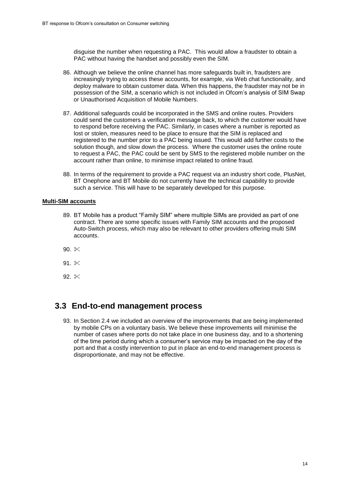disguise the number when requesting a PAC. This would allow a fraudster to obtain a PAC without having the handset and possibly even the SIM.

- 86. Although we believe the online channel has more safeguards built in, fraudsters are increasingly trying to access these accounts, for example, via Web chat functionality, and deploy malware to obtain customer data. When this happens, the fraudster may not be in possession of the SIM, a scenario which is not included in Ofcom's analysis of SIM Swap or Unauthorised Acquisition of Mobile Numbers.
- 87. Additional safeguards could be incorporated in the SMS and online routes. Providers could send the customers a verification message back, to which the customer would have to respond before receiving the PAC. Similarly, in cases where a number is reported as lost or stolen, measures need to be place to ensure that the SIM is replaced and registered to the number prior to a PAC being issued. This would add further costs to the solution though, and slow down the process. Where the customer uses the online route to request a PAC, the PAC could be sent by SMS to the registered mobile number on the account rather than online, to minimise impact related to online fraud.
- 88. In terms of the requirement to provide a PAC request via an industry short code, PlusNet, BT Onephone and BT Mobile do not currently have the technical capability to provide such a service. This will have to be separately developed for this purpose.

#### **Multi-SIM accounts**

- 89. BT Mobile has a product "Family SIM" where multiple SIMs are provided as part of one contract. There are some specific issues with Family SIM accounts and the proposed Auto-Switch process, which may also be relevant to other providers offering multi SIM accounts.
- 90.  $*$
- 91.  $*$
- 92.  $*$

### <span id="page-13-0"></span>**3.3 End-to-end management process**

93. In Section 2.4 we included an overview of the improvements that are being implemented by mobile CPs on a voluntary basis. We believe these improvements will minimise the number of cases where ports do not take place in one business day, and to a shortening of the time period during which a consumer's service may be impacted on the day of the port and that a costly intervention to put in place an end-to-end management process is disproportionate, and may not be effective.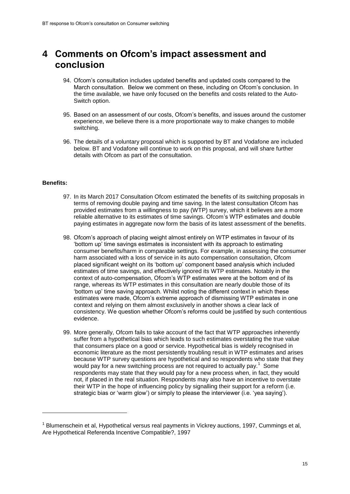# <span id="page-14-0"></span>**4 Comments on Ofcom's impact assessment and conclusion**

- 94. Ofcom's consultation includes updated benefits and updated costs compared to the March consultation. Below we comment on these, including on Ofcom's conclusion. In the time available, we have only focused on the benefits and costs related to the Auto-Switch option.
- 95. Based on an assessment of our costs, Ofcom's benefits, and issues around the customer experience, we believe there is a more proportionate way to make changes to mobile switching.
- 96. The details of a voluntary proposal which is supported by BT and Vodafone are included below. BT and Vodafone will continue to work on this proposal, and will share further details with Ofcom as part of the consultation.

#### **Benefits:**

-

- 97. In its March 2017 Consultation Ofcom estimated the benefits of its switching proposals in terms of removing double paying and time saving. In the latest consultation Ofcom has provided estimates from a willingness to pay (WTP) survey, which it believes are a more reliable alternative to its estimates of time savings. Ofcom's WTP estimates and double paying estimates in aggregate now form the basis of its latest assessment of the benefits.
- 98. Ofcom's approach of placing weight almost entirely on WTP estimates in favour of its 'bottom up' time savings estimates is inconsistent with its approach to estimating consumer benefits/harm in comparable settings. For example, in assessing the consumer harm associated with a loss of service in its auto compensation consultation, Ofcom placed significant weight on its 'bottom up' component based analysis which included estimates of time savings, and effectively ignored its WTP estimates. Notably in the context of auto-compensation, Ofcom's WTP estimates were at the bottom end of its range, whereas its WTP estimates in this consultation are nearly double those of its 'bottom up' time saving approach. Whilst noting the different context in which these estimates were made, Ofcom's extreme approach of dismissing WTP estimates in one context and relying on them almost exclusively in another shows a clear lack of consistency. We question whether Ofcom's reforms could be justified by such contentious evidence.
- 99. More generally, Ofcom fails to take account of the fact that WTP approaches inherently suffer from a hypothetical bias which leads to such estimates overstating the true value that consumers place on a good or service. Hypothetical bias is widely recognised in economic literature as the most persistently troubling result in WTP estimates and arises because WTP survey questions are hypothetical and so respondents who state that they would pay for a new switching process are not required to actually pay.<sup>1</sup> Some respondents may state that they would pay for a new process when, in fact, they would not, if placed in the real situation. Respondents may also have an incentive to overstate their WTP in the hope of influencing policy by signalling their support for a reform (i.e. strategic bias or 'warm glow') or simply to please the interviewer (i.e. 'yea saying').

<sup>&</sup>lt;sup>1</sup> Blumenschein et al, Hypothetical versus real payments in Vickrey auctions, 1997, Cummings et al, Are Hypothetical Referenda Incentive Compatible?, 1997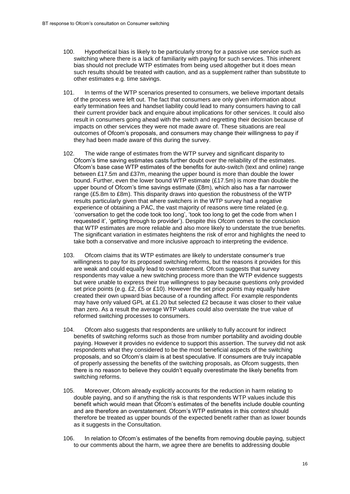- 100. Hypothetical bias is likely to be particularly strong for a passive use service such as switching where there is a lack of familiarity with paying for such services. This inherent bias should not preclude WTP estimates from being used altogether but it does mean such results should be treated with caution, and as a supplement rather than substitute to other estimates e.g. time savings.
- 101. In terms of the WTP scenarios presented to consumers, we believe important details of the process were left out. The fact that consumers are only given information about early termination fees and handset liability could lead to many consumers having to call their current provider back and enquire about implications for other services. It could also result in consumers going ahead with the switch and regretting their decision because of impacts on other services they were not made aware of. These situations are real outcomes of Ofcom's proposals, and consumers may change their willingness to pay if they had been made aware of this during the survey.
- 102. The wide range of estimates from the WTP survey and significant disparity to Ofcom's time saving estimates casts further doubt over the reliability of the estimates. Ofcom's base case WTP estimates of the benefits for auto-switch (text and online) range between £17.5m and £37m, meaning the upper bound is more than double the lower bound. Further, even the lower bound WTP estimate (£17.5m) is more than double the upper bound of Ofcom's time savings estimate (£8m), which also has a far narrower range (£5.8m to £8m). This disparity draws into question the robustness of the WTP results particularly given that where switchers in the WTP survey had a negative experience of obtaining a PAC, the vast majority of reasons were time related (e.g. 'conversation to get the code took too long', 'took too long to get the code from when I requested it', 'getting through to provider'). Despite this Ofcom comes to the conclusion that WTP estimates are more reliable and also more likely to understate the true benefits. The significant variation in estimates heightens the risk of error and highlights the need to take both a conservative and more inclusive approach to interpreting the evidence.
- 103. Ofcom claims that its WTP estimates are likely to understate consumer's true willingness to pay for its proposed switching reforms, but the reasons it provides for this are weak and could equally lead to overstatement. Ofcom suggests that survey respondents may value a new switching process more than the WTP evidence suggests but were unable to express their true willingness to pay because questions only provided set price points (e.g. £2, £5 or £10). However the set price points may equally have created their own upward bias because of a rounding affect. For example respondents may have only valued GPL at £1.20 but selected £2 because it was closer to their value than zero. As a result the average WTP values could also overstate the true value of reformed switching processes to consumers.
- 104. Ofcom also suggests that respondents are unlikely to fully account for indirect benefits of switching reforms such as those from number portability and avoiding double paying. However it provides no evidence to support this assertion. The survey did not ask respondents what they considered to be the most beneficial aspects of the switching proposals, and so Ofcom's claim is at best speculative. If consumers are truly incapable of properly assessing the benefits of the switching proposals, as Ofcom suggests, then there is no reason to believe they couldn't equally overestimate the likely benefits from switching reforms.
- 105. Moreover, Ofcom already explicitly accounts for the reduction in harm relating to double paying, and so if anything the risk is that respondents WTP values include this benefit which would mean that Ofcom's estimates of the benefits include double counting and are therefore an overstatement. Ofcom's WTP estimates in this context should therefore be treated as upper bounds of the expected benefit rather than as lower bounds as it suggests in the Consultation.
- 106. In relation to Ofcom's estimates of the benefits from removing double paying, subject to our comments about the harm, we agree there are benefits to addressing double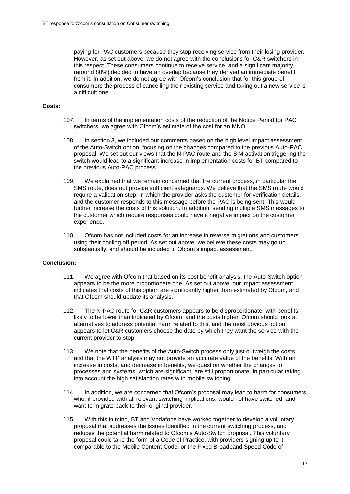paying for PAC customers because they stop receiving service from their losing provider. However, as set out above, we do not agree with the conclusions for C&R switchers in this respect. These consumers continue to receive service, and a significant majority (around 80%) decided to have an overlap because they derived an immediate benefit from it. In addition, we do not agree with Ofcom's conclusion that for this group of consumers the process of cancelling their existing service and taking out a new service is a difficult one.

#### **Costs:**

- 107. In terms of the implementation costs of the reduction of the Notice Period for PAC switchers, we agree with Ofcom's estimate of the cost for an MNO.
- 108. In section 3, we included our comments based on the high level impact assessment of the Auto-Switch option, focusing on the changes compared to the previous Auto-PAC proposal. We set out our views that the N-PAC route and the SIM activation triggering the switch would lead to a significant increase in implementation costs for BT compared to the previous Auto-PAC process.
- 109. We explained that we remain concerned that the current process, in particular the SMS route, does not provide sufficient safeguards. We believe that the SMS route would require a validation step, in which the provider asks the customer for verification details, and the customer responds to this message before the PAC is being sent. This would further increase the costs of this solution. In addition, sending multiple SMS messages to the customer which require responses could have a negative impact on the customer experience.
- 110. Ofcom has not included costs for an increase in reverse migrations and customers using their cooling off period. As set out above, we believe these costs may go up substantially, and should be included in Ofcom's impact assessment.

### **Conclusion:**

- 111. We agree with Ofcom that based on its cost benefit analysis, the Auto-Switch option appears to be the more proportionate one. As set out above, our impact assessment indicates that costs of this option are significantly higher than estimated by Ofcom, and that Ofcom should update its analysis.
- 112. The N-PAC route for C&R customers appears to be disproportionate, with benefits likely to be lower than indicated by Ofcom, and the costs higher. Ofcom should look at alternatives to address potential harm related to this, and the most obvious option appears to let C&R customers choose the date by which they want the service with the current provider to stop.
- 113. We note that the benefits of the Auto-Switch process only just outweigh the costs, and that the WTP analysis may not provide an accurate value of the benefits. With an increase in costs, and decrease in benefits, we question whether the changes to processes and systems, which are significant, are still proportionate, in particular taking into account the high satisfaction rates with mobile switching.
- 114. In addition, we are concerned that Ofcom's proposal may lead to harm for consumers who, if provided with all relevant switching implications, would not have switched, and want to migrate back to their original provider.
- 115. With this in mind, BT and Vodafone have worked together to develop a voluntary proposal that addresses the issues identified in the current switching process, and reduces the potential harm related to Ofcom's Auto-Switch proposal. This voluntary proposal could take the form of a Code of Practice, with providers signing up to it, comparable to the Mobile Content Code, or the Fixed Broadband Speed Code of